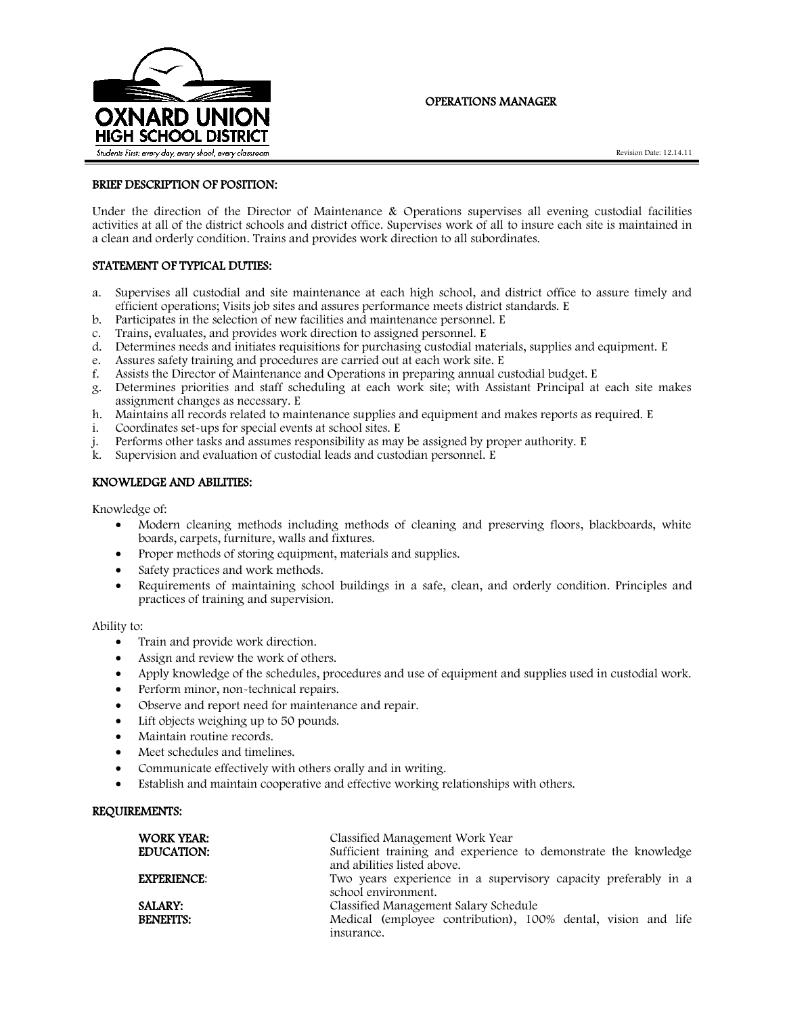

# OPERATIONS MANAGER

### BRIEF DESCRIPTION OF POSITION:

Under the direction of the Director of Maintenance & Operations supervises all evening custodial facilities activities at all of the district schools and district office. Supervises work of all to insure each site is maintained in a clean and orderly condition. Trains and provides work direction to all subordinates.

## STATEMENT OF TYPICAL DUTIES:

- a. Supervises all custodial and site maintenance at each high school, and district office to assure timely and efficient operations; Visits job sites and assures performance meets district standards. E
- b. Participates in the selection of new facilities and maintenance personnel. E
- c. Trains, evaluates, and provides work direction to assigned personnel. E
- d. Determines needs and initiates requisitions for purchasing custodial materials, supplies and equipment. E
- e. Assures safety training and procedures are carried out at each work site. E
- f. Assists the Director of Maintenance and Operations in preparing annual custodial budget. E
- g. Determines priorities and staff scheduling at each work site; with Assistant Principal at each site makes assignment changes as necessary. E
- h. Maintains all records related to maintenance supplies and equipment and makes reports as required. E
- i. Coordinates set-ups for special events at school sites. E
- j. Performs other tasks and assumes responsibility as may be assigned by proper authority. E
- k. Supervision and evaluation of custodial leads and custodian personnel. E

#### KNOWLEDGE AND ABILITIES:

Knowledge of:

- Modern cleaning methods including methods of cleaning and preserving floors, blackboards, white boards, carpets, furniture, walls and fixtures.
- Proper methods of storing equipment, materials and supplies.
- Safety practices and work methods.
- Requirements of maintaining school buildings in a safe, clean, and orderly condition. Principles and practices of training and supervision.

Ability to:

- Train and provide work direction.
- Assign and review the work of others.
- Apply knowledge of the schedules, procedures and use of equipment and supplies used in custodial work.
- Perform minor, non-technical repairs.
- Observe and report need for maintenance and repair.
- Lift objects weighing up to 50 pounds.
- Maintain routine records.
- Meet schedules and timelines.
- Communicate effectively with others orally and in writing.
- Establish and maintain cooperative and effective working relationships with others.

## REQUIREMENTS:

| WORK YEAR:<br><b>EDUCATION:</b>    | Classified Management Work Year<br>Sufficient training and experience to demonstrate the knowledge<br>and abilities listed above. |
|------------------------------------|-----------------------------------------------------------------------------------------------------------------------------------|
| <b>EXPERIENCE:</b>                 | Two years experience in a supervisory capacity preferably in a<br>school environment.                                             |
| <b>SALARY:</b><br><b>BENEFITS:</b> | Classified Management Salary Schedule<br>Medical (employee contribution), 100% dental, vision and life<br>insurance.              |